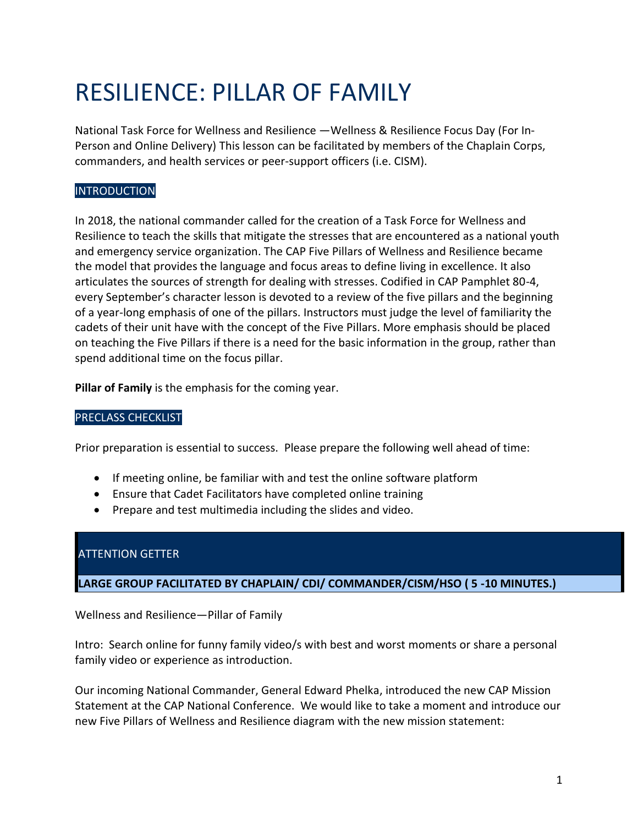# RESILIENCE: PILLAR OF FAMILY

National Task Force for Wellness and Resilience —Wellness & Resilience Focus Day (For In-Person and Online Delivery) This lesson can be facilitated by members of the Chaplain Corps, commanders, and health services or peer-support officers (i.e. CISM).

#### **INTRODUCTION**

In 2018, the national commander called for the creation of a Task Force for Wellness and Resilience to teach the skills that mitigate the stresses that are encountered as a national youth and emergency service organization. The CAP Five Pillars of Wellness and Resilience became the model that provides the language and focus areas to define living in excellence. It also articulates the sources of strength for dealing with stresses. Codified in CAP Pamphlet 80-4, every September's character lesson is devoted to a review of the five pillars and the beginning of a year-long emphasis of one of the pillars. Instructors must judge the level of familiarity the cadets of their unit have with the concept of the Five Pillars. More emphasis should be placed on teaching the Five Pillars if there is a need for the basic information in the group, rather than spend additional time on the focus pillar.

**Pillar of Family** is the emphasis for the coming year.

#### PRECLASS CHECKLIST

Prior preparation is essential to success. Please prepare the following well ahead of time:

- If meeting online, be familiar with and test the online software platform
- Ensure that Cadet Facilitators have completed online training
- Prepare and test multimedia including the slides and video.

### ATTENTION GETTER

**LARGE GROUP FACILITATED BY CHAPLAIN/ CDI/ COMMANDER/CISM/HSO ( 5 -10 MINUTES.)** 

Wellness and Resilience—Pillar of Family

Intro: Search online for funny family video/s with best and worst moments or share a personal family video or experience as introduction.

Our incoming National Commander, General Edward Phelka, introduced the new CAP Mission Statement at the CAP National Conference. We would like to take a moment and introduce our new Five Pillars of Wellness and Resilience diagram with the new mission statement: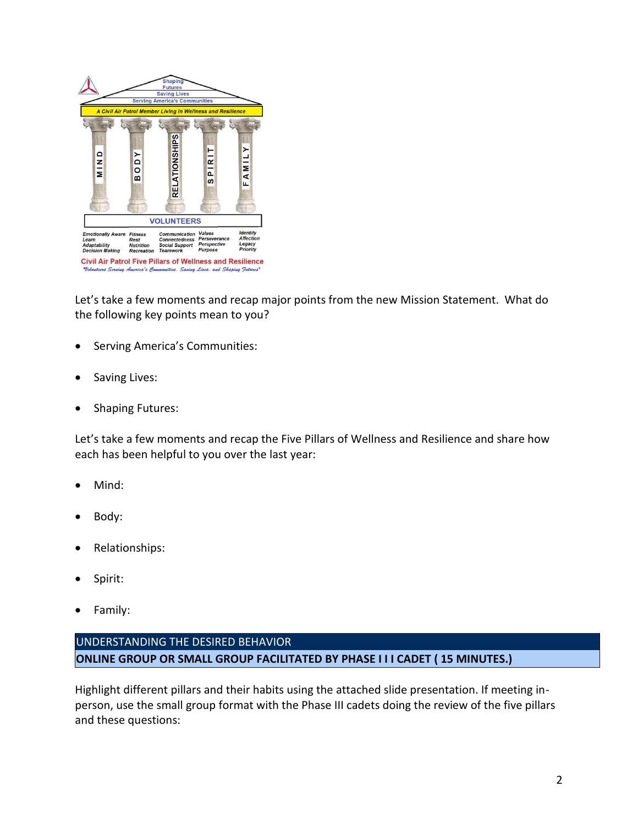

Let's take a few moments and recap major points from the new Mission Statement. What do the following key points mean to you?

- Serving America's Communities:
- Saving Lives:
- Shaping Futures:

Let's take a few moments and recap the Five Pillars of Wellness and Resilience and share how each has been helpful to you over the last year:

- Mind:
- Body:
- Relationships:
- Spirit:
- Family:

## UNDERSTANDING THE DESIRED BEHAVIOR **ONLINE GROUP OR SMALL GROUP FACILITATED BY PHASE I I I CADET ( 15 MINUTES.)**

Highlight different pillars and their habits using the attached slide presentation. If meeting inperson, use the small group format with the Phase III cadets doing the review of the five pillars and these questions: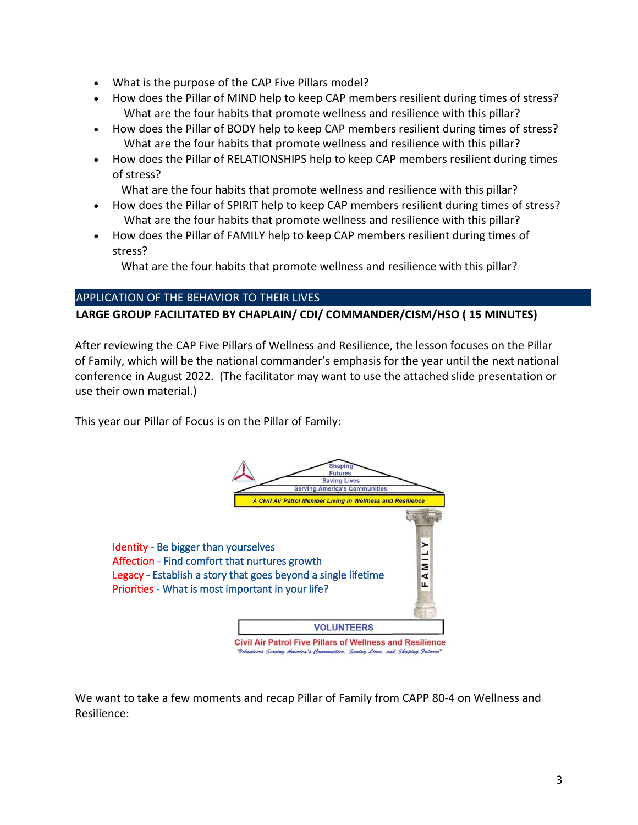- What is the purpose of the CAP Five Pillars model?
- How does the Pillar of MIND help to keep CAP members resilient during times of stress? What are the four habits that promote wellness and resilience with this pillar?
- How does the Pillar of BODY help to keep CAP members resilient during times of stress? What are the four habits that promote wellness and resilience with this pillar?
- How does the Pillar of RELATIONSHIPS help to keep CAP members resilient during times of stress?

What are the four habits that promote wellness and resilience with this pillar?

- How does the Pillar of SPIRIT help to keep CAP members resilient during times of stress? What are the four habits that promote wellness and resilience with this pillar?
- How does the Pillar of FAMILY help to keep CAP members resilient during times of stress?

What are the four habits that promote wellness and resilience with this pillar?

# APPLICATION OF THE BEHAVIOR TO THEIR LIVES **LARGE GROUP FACILITATED BY CHAPLAIN/ CDI/ COMMANDER/CISM/HSO ( 15 MINUTES)**

After reviewing the CAP Five Pillars of Wellness and Resilience, the lesson focuses on the Pillar of Family, which will be the national commander's emphasis for the year until the next national conference in August 2022. (The facilitator may want to use the attached slide presentation or use their own material.)

This year our Pillar of Focus is on the Pillar of Family:



We want to take a few moments and recap Pillar of Family from CAPP 80-4 on Wellness and Resilience: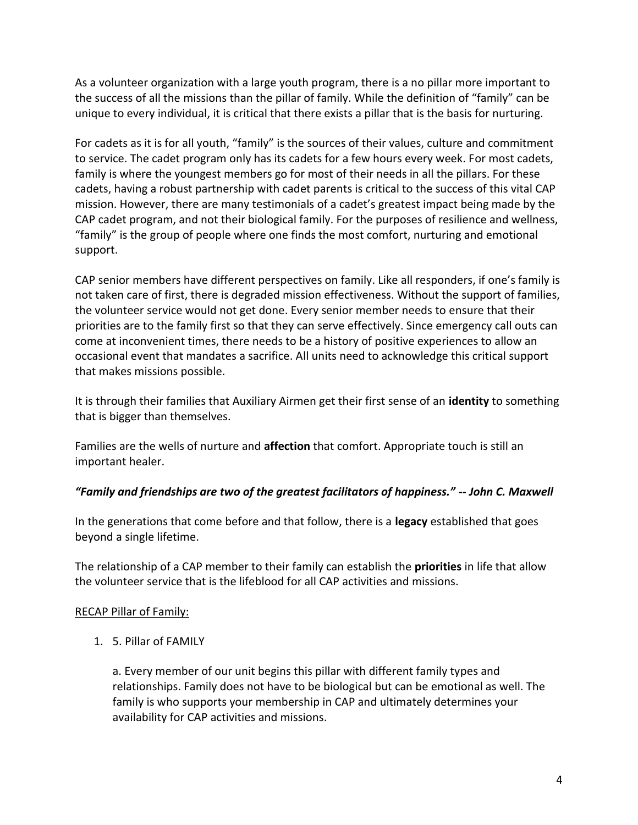As a volunteer organization with a large youth program, there is a no pillar more important to the success of all the missions than the pillar of family. While the definition of "family" can be unique to every individual, it is critical that there exists a pillar that is the basis for nurturing.

For cadets as it is for all youth, "family" is the sources of their values, culture and commitment to service. The cadet program only has its cadets for a few hours every week. For most cadets, family is where the youngest members go for most of their needs in all the pillars. For these cadets, having a robust partnership with cadet parents is critical to the success of this vital CAP mission. However, there are many testimonials of a cadet's greatest impact being made by the CAP cadet program, and not their biological family. For the purposes of resilience and wellness, "family" is the group of people where one finds the most comfort, nurturing and emotional support.

CAP senior members have different perspectives on family. Like all responders, if one's family is not taken care of first, there is degraded mission effectiveness. Without the support of families, the volunteer service would not get done. Every senior member needs to ensure that their priorities are to the family first so that they can serve effectively. Since emergency call outs can come at inconvenient times, there needs to be a history of positive experiences to allow an occasional event that mandates a sacrifice. All units need to acknowledge this critical support that makes missions possible.

It is through their families that Auxiliary Airmen get their first sense of an **identity** to something that is bigger than themselves.

Families are the wells of nurture and **affection** that comfort. Appropriate touch is still an important healer.

#### *"Family and friendships are two of the greatest facilitators of happiness." -- John C. Maxwell*

In the generations that come before and that follow, there is a **legacy** established that goes beyond a single lifetime.

The relationship of a CAP member to their family can establish the **priorities** in life that allow the volunteer service that is the lifeblood for all CAP activities and missions.

#### RECAP Pillar of Family:

1. 5. Pillar of FAMILY

a. Every member of our unit begins this pillar with different family types and relationships. Family does not have to be biological but can be emotional as well. The family is who supports your membership in CAP and ultimately determines your availability for CAP activities and missions.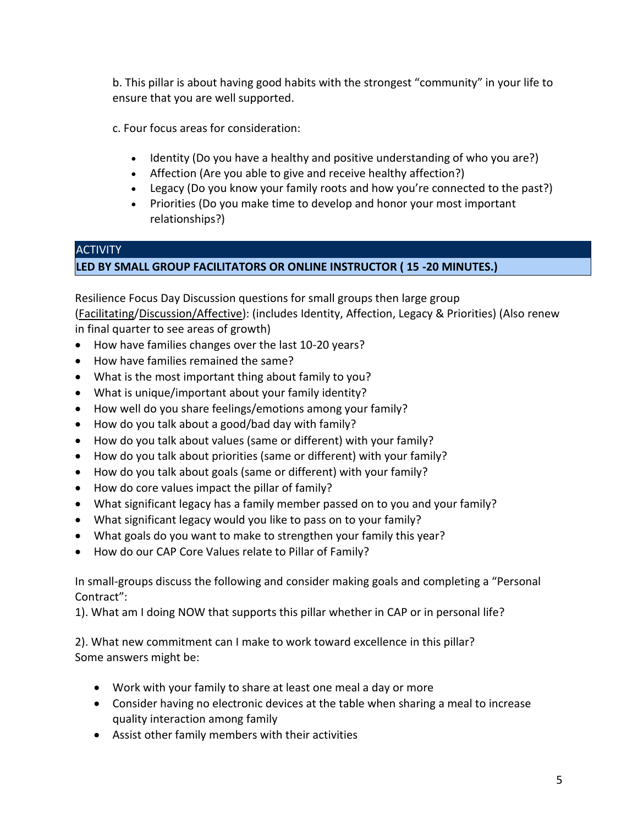b. This pillar is about having good habits with the strongest "community" in your life to ensure that you are well supported.

c. Four focus areas for consideration:

- Identity (Do you have a healthy and positive understanding of who you are?)
- Affection (Are you able to give and receive healthy affection?)
- Legacy (Do you know your family roots and how you're connected to the past?)
- Priorities (Do you make time to develop and honor your most important relationships?)

# **ACTIVITY LED BY SMALL GROUP FACILITATORS OR ONLINE INSTRUCTOR ( 15 -20 MINUTES.)**

Resilience Focus Day Discussion questions for small groups then large group (Facilitating/Discussion/Affective): (includes Identity, Affection, Legacy & Priorities) (Also renew in final quarter to see areas of growth)

- How have families changes over the last 10-20 years?
- How have families remained the same?
- What is the most important thing about family to you?
- What is unique/important about your family identity?
- How well do you share feelings/emotions among your family?
- How do you talk about a good/bad day with family?
- How do you talk about values (same or different) with your family?
- How do you talk about priorities (same or different) with your family?
- How do you talk about goals (same or different) with your family?
- How do core values impact the pillar of family?
- What significant legacy has a family member passed on to you and your family?
- What significant legacy would you like to pass on to your family?
- What goals do you want to make to strengthen your family this year?
- How do our CAP Core Values relate to Pillar of Family?

In small-groups discuss the following and consider making goals and completing a "Personal Contract":

1). What am I doing NOW that supports this pillar whether in CAP or in personal life?

2). What new commitment can I make to work toward excellence in this pillar? Some answers might be:

- Work with your family to share at least one meal a day or more
- Consider having no electronic devices at the table when sharing a meal to increase quality interaction among family
- Assist other family members with their activities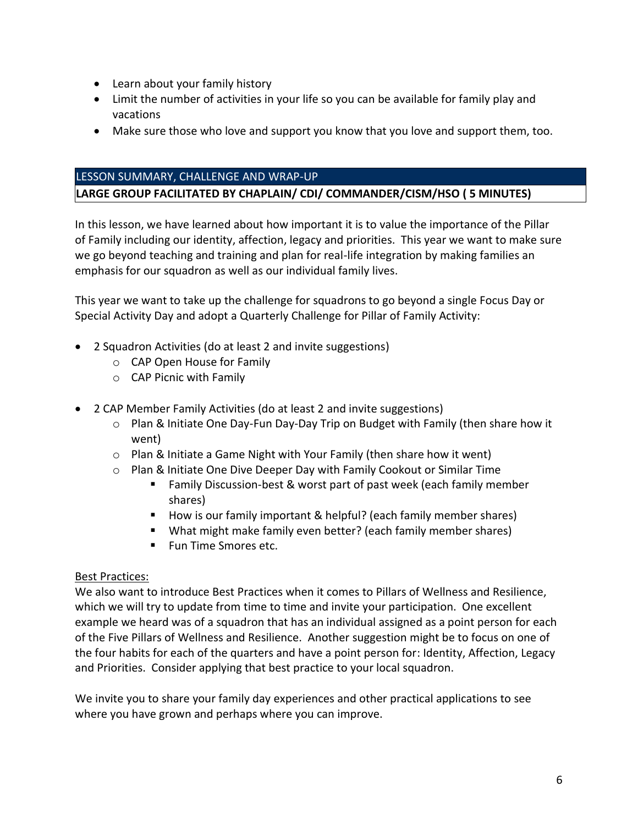- Learn about your family history
- Limit the number of activities in your life so you can be available for family play and vacations
- Make sure those who love and support you know that you love and support them, too.

#### LESSON SUMMARY, CHALLENGE AND WRAP-UP

#### **LARGE GROUP FACILITATED BY CHAPLAIN/ CDI/ COMMANDER/CISM/HSO ( 5 MINUTES)**

In this lesson, we have learned about how important it is to value the importance of the Pillar of Family including our identity, affection, legacy and priorities. This year we want to make sure we go beyond teaching and training and plan for real-life integration by making families an emphasis for our squadron as well as our individual family lives.

This year we want to take up the challenge for squadrons to go beyond a single Focus Day or Special Activity Day and adopt a Quarterly Challenge for Pillar of Family Activity:

- 2 Squadron Activities (do at least 2 and invite suggestions)
	- o CAP Open House for Family
	- o CAP Picnic with Family
- 2 CAP Member Family Activities (do at least 2 and invite suggestions)
	- o Plan & Initiate One Day-Fun Day-Day Trip on Budget with Family (then share how it went)
	- o Plan & Initiate a Game Night with Your Family (then share how it went)
	- o Plan & Initiate One Dive Deeper Day with Family Cookout or Similar Time
		- Family Discussion-best & worst part of past week (each family member shares)
		- How is our family important & helpful? (each family member shares)
		- What might make family even better? (each family member shares)
		- Fun Time Smores etc.

#### Best Practices:

We also want to introduce Best Practices when it comes to Pillars of Wellness and Resilience, which we will try to update from time to time and invite your participation. One excellent example we heard was of a squadron that has an individual assigned as a point person for each of the Five Pillars of Wellness and Resilience. Another suggestion might be to focus on one of the four habits for each of the quarters and have a point person for: Identity, Affection, Legacy and Priorities. Consider applying that best practice to your local squadron.

We invite you to share your family day experiences and other practical applications to see where you have grown and perhaps where you can improve.